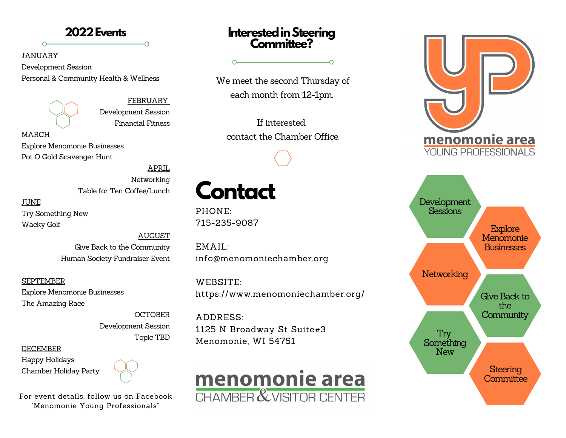#### **2022Events**

#### JANUARY

 $\Omega$ 

Development Session Personal & Community Health & Wellness

FEBRUARY Development Session Financial Fitness

MARCH Explore Menomonie Businesses Pot O Gold Scavenger Hunt

> APRIL Networking Table for Ten Coffee/Lunch

JUNE Try Something New Wacky Golf

> AUGUST Give Back to the Community Human Society Fundraiser Event

SEPTEMBER Explore Menomonie Businesses The Amazing Race

> **OCTOBER** Development Session Topic TBD

**DECEMBER** 

Happy Holidays Chamber Holiday Party



For event details, follow us on Facebook 'Menomonie Young Professionals"

#### **Interested in Steering Committee?**

 $\Omega$ 

We meet the second Thursday of each month from 12-1pm.

If interested, contact the Chamber Office.

# **Contact**

 $\overline{\phantom{0}}$ 

PHONE: 715-235-9087

EMAIL: info@menomoniechamber.org

WEBSITE: https://www.menomoniechamber.org/

ADDRESS: 1125 N Broadway St Suite#3 Menomonie, WI 54751



# <u>menomonie area</u> **YOUNG PROFESSIONALS** Development Sessions **Explore Menomonie Businesses** For the only of the company of the company of the company of the company of the company of the company of the company of the company of the company of the company of the company of the company of the company of the company PROFESSIONAL **Networking Give Back to** the **Community**

Try **Something New** 

> **Steering Committee**